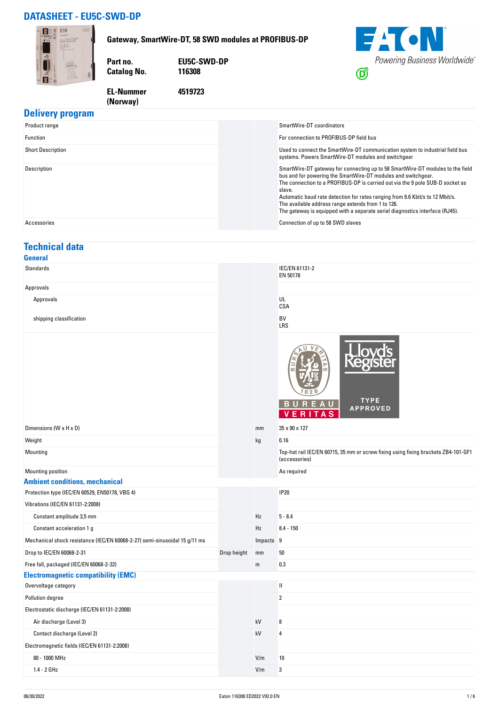## **DATASHEET - EU5C-SWD-DP**

**(Norway)** 



### **Delivery program**

| Product range            | SmartWire-DT coordinators                                                                                                                                                                                                                                                                                                                                                                                                                                         |
|--------------------------|-------------------------------------------------------------------------------------------------------------------------------------------------------------------------------------------------------------------------------------------------------------------------------------------------------------------------------------------------------------------------------------------------------------------------------------------------------------------|
| Function                 | For connection to PROFIBUS-DP field bus                                                                                                                                                                                                                                                                                                                                                                                                                           |
| <b>Short Description</b> | Used to connect the SmartWire-DT communication system to industrial field bus<br>systems. Powers SmartWire-DT modules and switchgear                                                                                                                                                                                                                                                                                                                              |
| Description              | SmartWire-DT gateway for connecting up to 58 SmartWire-DT modules to the field<br>bus and for powering the SmartWire-DT modules and switchgear.<br>The connection to a PROFIBUS-DP is carried out via the 9 pole SUB-D socket as<br>slave.<br>Automatic baud rate detection for rates ranging from 9.6 Kbit/s to 12 Mbit/s.<br>The available address range extends from 1 to 126.<br>The gateway is equipped with a separate serial diagnostics interface (RJ45). |
| Accessories              | Connection of up to 58 SWD slaves                                                                                                                                                                                                                                                                                                                                                                                                                                 |

#### **Technical data General**

| <b>Standards</b>                                                           |             |           | IEC/EN 61131-2<br>EN 50178                                                                          |
|----------------------------------------------------------------------------|-------------|-----------|-----------------------------------------------------------------------------------------------------|
| Approvals                                                                  |             |           |                                                                                                     |
| Approvals                                                                  |             |           | UL<br>CSA                                                                                           |
| shipping classification                                                    |             |           | BV<br>LRS                                                                                           |
|                                                                            |             |           | <b>TYPE</b><br>BUREA<br>U<br><b>APPROVED</b><br>VERITAS                                             |
| Dimensions (W x H x D)                                                     |             | mm        | 35 x 90 x 127                                                                                       |
| Weight                                                                     |             | kg        | 0.16                                                                                                |
| Mounting                                                                   |             |           | Top-hat rail IEC/EN 60715, 35 mm or screw fixing using fixing brackets ZB4-101-GF1<br>(accessories) |
| Mounting position                                                          |             |           | As required                                                                                         |
| <b>Ambient conditions, mechanical</b>                                      |             |           |                                                                                                     |
| Protection type (IEC/EN 60529, EN50178, VBG 4)                             |             |           | <b>IP20</b>                                                                                         |
| Vibrations (IEC/EN 61131-2:2008)                                           |             |           |                                                                                                     |
| Constant amplitude 3,5 mm                                                  |             | Hz        | $5 - 8.4$                                                                                           |
| Constant acceleration 1 g                                                  |             | Hz        | $8.4 - 150$                                                                                         |
| Mechanical shock resistance (IEC/EN 60068-2-27) semi-sinusoidal 15 g/11 ms |             | Impacts 9 |                                                                                                     |
| Drop to IEC/EN 60068-2-31                                                  | Drop height | mm        | 50                                                                                                  |
| Free fall, packaged (IEC/EN 60068-2-32)                                    |             | m         | 0.3                                                                                                 |
| <b>Electromagnetic compatibility (EMC)</b>                                 |             |           |                                                                                                     |
| Overvoltage category                                                       |             |           | $\mathbf{I}$                                                                                        |
| Pollution degree                                                           |             |           | $\boldsymbol{2}$                                                                                    |
| Electrostatic discharge (IEC/EN 61131-2:2008)                              |             |           |                                                                                                     |
| Air discharge (Level 3)                                                    |             | kV        | 8                                                                                                   |
| Contact discharge (Level 2)                                                |             | kV        | 4                                                                                                   |
| Electromagnetic fields (IEC/EN 61131-2:2008)                               |             |           |                                                                                                     |
| 80 - 1000 MHz                                                              |             | V/m       | $10\,$                                                                                              |
| $1.4 - 2$ GHz                                                              |             | V/m       | 3                                                                                                   |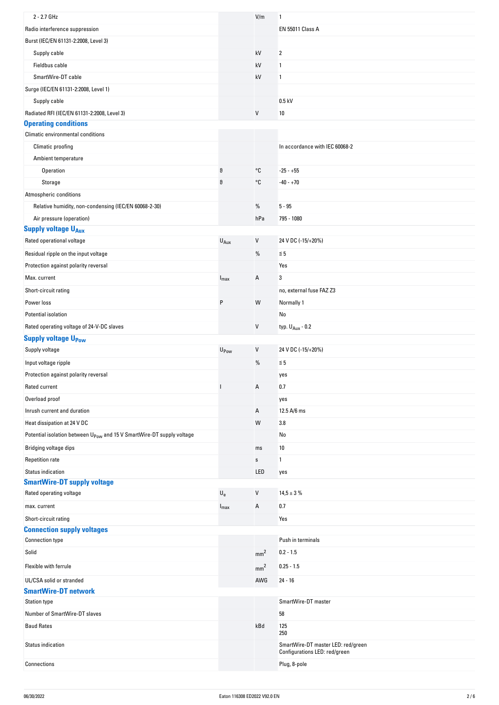| 2 - 2.7 GHz                                                                       |                           | V/m             | 1                                                                   |
|-----------------------------------------------------------------------------------|---------------------------|-----------------|---------------------------------------------------------------------|
| Radio interference suppression                                                    |                           |                 | <b>EN 55011 Class A</b>                                             |
| Burst (IEC/EN 61131-2:2008, Level 3)                                              |                           |                 |                                                                     |
| Supply cable                                                                      |                           | kV              | 2                                                                   |
| Fieldbus cable                                                                    |                           | kV              | 1                                                                   |
| SmartWire-DT cable                                                                |                           | kV              | 1                                                                   |
| Surge (IEC/EN 61131-2:2008, Level 1)                                              |                           |                 |                                                                     |
| Supply cable                                                                      |                           |                 | $0.5$ kV                                                            |
| Radiated RFI (IEC/EN 61131-2:2008, Level 3)                                       |                           | V               | 10                                                                  |
| <b>Operating conditions</b>                                                       |                           |                 |                                                                     |
| Climatic environmental conditions                                                 |                           |                 |                                                                     |
| Climatic proofing                                                                 |                           |                 | In accordance with IEC 60068-2                                      |
| Ambient temperature                                                               |                           |                 |                                                                     |
| Operation                                                                         | $\vartheta$               | °C              | $-25 - +55$                                                         |
| Storage                                                                           | $\vartheta$               | °C              | $-40 - +70$                                                         |
| Atmospheric conditions                                                            |                           |                 |                                                                     |
| Relative humidity, non-condensing (IEC/EN 60068-2-30)                             |                           | $\%$            | $5 - 95$                                                            |
| Air pressure (operation)                                                          |                           | hPa             | 795 - 1080                                                          |
| <b>Supply voltage UAux</b>                                                        |                           |                 |                                                                     |
| Rated operational voltage                                                         | $U_{Aux}$                 | $\sf V$         | 24 V DC (-15/+20%)                                                  |
| Residual ripple on the input voltage                                              |                           | %               | $\leq 5$                                                            |
| Protection against polarity reversal                                              |                           |                 | Yes                                                                 |
| Max. current                                                                      | $I_{\text{max}}$          | Α               | 3                                                                   |
| Short-circuit rating                                                              |                           |                 | no, external fuse FAZ Z3                                            |
| Power loss                                                                        | P                         | W               | Normally 1                                                          |
| Potential isolation                                                               |                           |                 | No                                                                  |
| Rated operating voltage of 24-V-DC slaves                                         |                           | V               |                                                                     |
|                                                                                   |                           |                 | typ. $U_{Aux}$ - 0.2                                                |
| <b>Supply voltage UPow</b><br>Supply voltage                                      |                           | V               | 24 V DC (-15/+20%)                                                  |
|                                                                                   | U <sub>Pow</sub>          |                 |                                                                     |
| Input voltage ripple                                                              |                           | $\%$            | $\leq 5$                                                            |
| Protection against polarity reversal                                              |                           |                 | yes                                                                 |
| Rated current                                                                     |                           | А               | 0.7                                                                 |
| Overload proof                                                                    |                           |                 | yes                                                                 |
| Inrush current and duration                                                       |                           | Α               | 12.5 A/6 ms                                                         |
| Heat dissipation at 24 V DC                                                       |                           | W               | 3.8                                                                 |
| Potential isolation between U <sub>Pow</sub> and 15 V SmartWire-DT supply voltage |                           |                 | No                                                                  |
| Bridging voltage dips                                                             |                           | ms              | 10                                                                  |
| <b>Repetition rate</b>                                                            |                           | $\mathbb S$     | 1                                                                   |
| <b>Status indication</b>                                                          |                           | LED             | yes                                                                 |
| <b>SmartWire-DT supply voltage</b>                                                |                           |                 |                                                                     |
| Rated operating voltage                                                           | $\mathsf{U}_{\mathsf{e}}$ | V               | $14,5 \pm 3 \%$                                                     |
| max. current                                                                      | $I_{\text{max}}$          | Α               | 0.7                                                                 |
| Short-circuit rating                                                              |                           |                 | Yes                                                                 |
| <b>Connection supply voltages</b>                                                 |                           |                 |                                                                     |
| <b>Connection type</b>                                                            |                           |                 | Push in terminals                                                   |
| Solid                                                                             |                           | mm <sup>2</sup> | $0.2 - 1.5$                                                         |
| Flexible with ferrule                                                             |                           | mm <sup>2</sup> | $0.25 - 1.5$                                                        |
| UL/CSA solid or stranded                                                          |                           | AWG             | $24 - 16$                                                           |
| <b>SmartWire-DT network</b>                                                       |                           |                 |                                                                     |
| <b>Station type</b>                                                               |                           |                 | SmartWire-DT master                                                 |
| Number of SmartWire-DT slaves                                                     |                           |                 | 58                                                                  |
| <b>Baud Rates</b>                                                                 |                           | kBd             | 125<br>250                                                          |
| Status indication                                                                 |                           |                 | SmartWire-DT master LED: red/green<br>Configurations LED: red/green |
| Connections                                                                       |                           |                 | Plug, 8-pole                                                        |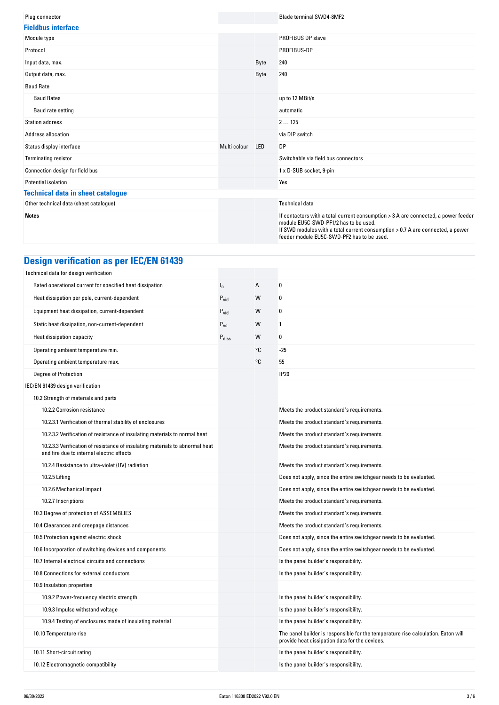| Plug connector                           |              |            | <b>Blade terminal SWD4-8MF2</b>                                                                                                                                                                                                                             |
|------------------------------------------|--------------|------------|-------------------------------------------------------------------------------------------------------------------------------------------------------------------------------------------------------------------------------------------------------------|
| <b>Fieldbus interface</b>                |              |            |                                                                                                                                                                                                                                                             |
| Module type                              |              |            | <b>PROFIBUS DP slave</b>                                                                                                                                                                                                                                    |
| Protocol                                 |              |            | PROFIBUS-DP                                                                                                                                                                                                                                                 |
| Input data, max.                         |              | Byte       | 240                                                                                                                                                                                                                                                         |
| Output data, max.                        |              | Byte       | 240                                                                                                                                                                                                                                                         |
| <b>Baud Rate</b>                         |              |            |                                                                                                                                                                                                                                                             |
| <b>Baud Rates</b>                        |              |            | up to 12 MBit/s                                                                                                                                                                                                                                             |
| Baud rate setting                        |              |            | automatic                                                                                                                                                                                                                                                   |
| <b>Station address</b>                   |              |            | 2125                                                                                                                                                                                                                                                        |
| Address allocation                       |              |            | via DIP switch                                                                                                                                                                                                                                              |
| Status display interface                 | Multi colour | <b>LED</b> | <b>DP</b>                                                                                                                                                                                                                                                   |
| <b>Terminating resistor</b>              |              |            | Switchable via field bus connectors                                                                                                                                                                                                                         |
| Connection design for field bus          |              |            | 1 x D-SUB socket, 9-pin                                                                                                                                                                                                                                     |
| Potential isolation                      |              |            | Yes                                                                                                                                                                                                                                                         |
| <b>Technical data in sheet catalogue</b> |              |            |                                                                                                                                                                                                                                                             |
| Other technical data (sheet catalogue)   |              |            | <b>Technical data</b>                                                                                                                                                                                                                                       |
| <b>Notes</b>                             |              |            | If contactors with a total current consumption > 3 A are connected, a power feeder<br>module EU5C-SWD-PF1/2 has to be used.<br>If SWD modules with a total current consumption > 0.7 A are connected, a power<br>feeder module EU5C-SWD-PF2 has to be used. |

# **Design verification as per IEC/EN 61439**

| Technical data for design verification                                                                                    |                   |    |                                                                                                                                     |
|---------------------------------------------------------------------------------------------------------------------------|-------------------|----|-------------------------------------------------------------------------------------------------------------------------------------|
| Rated operational current for specified heat dissipation                                                                  | $I_n$             | Α  | $\boldsymbol{0}$                                                                                                                    |
| Heat dissipation per pole, current-dependent                                                                              | $P_{vid}$         | W  | 0                                                                                                                                   |
| Equipment heat dissipation, current-dependent                                                                             | $P_{\text{vid}}$  | W  | 0                                                                                                                                   |
| Static heat dissipation, non-current-dependent                                                                            | $P_{VS}$          | W  | 1                                                                                                                                   |
| Heat dissipation capacity                                                                                                 | $P_{\text{diss}}$ | W  | 0                                                                                                                                   |
| Operating ambient temperature min.                                                                                        |                   | °C | $-25$                                                                                                                               |
| Operating ambient temperature max.                                                                                        |                   | °C | 55                                                                                                                                  |
| Degree of Protection                                                                                                      |                   |    | <b>IP20</b>                                                                                                                         |
| IEC/EN 61439 design verification                                                                                          |                   |    |                                                                                                                                     |
| 10.2 Strength of materials and parts                                                                                      |                   |    |                                                                                                                                     |
| 10.2.2 Corrosion resistance                                                                                               |                   |    | Meets the product standard's requirements.                                                                                          |
| 10.2.3.1 Verification of thermal stability of enclosures                                                                  |                   |    | Meets the product standard's requirements.                                                                                          |
| 10.2.3.2 Verification of resistance of insulating materials to normal heat                                                |                   |    | Meets the product standard's requirements.                                                                                          |
| 10.2.3.3 Verification of resistance of insulating materials to abnormal heat<br>and fire due to internal electric effects |                   |    | Meets the product standard's requirements.                                                                                          |
| 10.2.4 Resistance to ultra-violet (UV) radiation                                                                          |                   |    | Meets the product standard's requirements.                                                                                          |
| 10.2.5 Lifting                                                                                                            |                   |    | Does not apply, since the entire switchgear needs to be evaluated.                                                                  |
| 10.2.6 Mechanical impact                                                                                                  |                   |    | Does not apply, since the entire switchgear needs to be evaluated.                                                                  |
| 10.2.7 Inscriptions                                                                                                       |                   |    | Meets the product standard's requirements.                                                                                          |
| 10.3 Degree of protection of ASSEMBLIES                                                                                   |                   |    | Meets the product standard's requirements.                                                                                          |
| 10.4 Clearances and creepage distances                                                                                    |                   |    | Meets the product standard's requirements.                                                                                          |
| 10.5 Protection against electric shock                                                                                    |                   |    | Does not apply, since the entire switchgear needs to be evaluated.                                                                  |
| 10.6 Incorporation of switching devices and components                                                                    |                   |    | Does not apply, since the entire switchgear needs to be evaluated.                                                                  |
| 10.7 Internal electrical circuits and connections                                                                         |                   |    | Is the panel builder's responsibility.                                                                                              |
| 10.8 Connections for external conductors                                                                                  |                   |    | Is the panel builder's responsibility.                                                                                              |
| 10.9 Insulation properties                                                                                                |                   |    |                                                                                                                                     |
| 10.9.2 Power-frequency electric strength                                                                                  |                   |    | Is the panel builder's responsibility.                                                                                              |
| 10.9.3 Impulse withstand voltage                                                                                          |                   |    | Is the panel builder's responsibility.                                                                                              |
| 10.9.4 Testing of enclosures made of insulating material                                                                  |                   |    | Is the panel builder's responsibility.                                                                                              |
| 10.10 Temperature rise                                                                                                    |                   |    | The panel builder is responsible for the temperature rise calculation. Eaton will<br>provide heat dissipation data for the devices. |
| 10.11 Short-circuit rating                                                                                                |                   |    | Is the panel builder's responsibility.                                                                                              |
| 10.12 Electromagnetic compatibility                                                                                       |                   |    | Is the panel builder's responsibility.                                                                                              |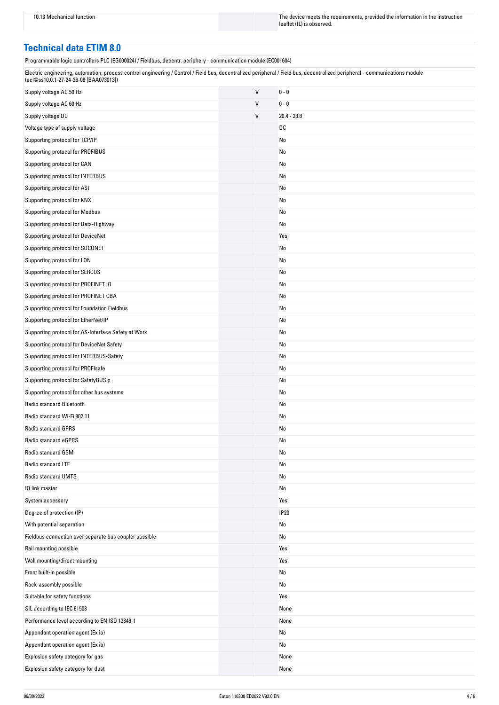10.13 Mechanical function The instruction The device meets the requirements, provided the information in the instruction leaflet (IL) is observed.

### **Technical data ETIM 8.0**

Programmable logic controllers PLC (EG000024) / Fieldbus, decentr. periphery - communication module (EC001604)

| Electric engineering, automation, process control engineering / Control / Field bus, decentralized peripheral / Field bus, decentralized peripheral - communications module |  |
|-----------------------------------------------------------------------------------------------------------------------------------------------------------------------------|--|
| (ecl@ss10.0.1-27-24-26-08 [BAA073013])                                                                                                                                      |  |

| Supply voltage AC 50 Hz                                | $\sf V$      | $0 - 0$       |
|--------------------------------------------------------|--------------|---------------|
| Supply voltage AC 60 Hz                                | V            | $0 - 0$       |
| Supply voltage DC                                      | $\mathsf{V}$ | $20.4 - 28.8$ |
| Voltage type of supply voltage                         |              | DC            |
| Supporting protocol for TCP/IP                         |              | No            |
| Supporting protocol for PROFIBUS                       |              | No            |
| Supporting protocol for CAN                            |              | No            |
| Supporting protocol for INTERBUS                       |              | No            |
| Supporting protocol for ASI                            |              | No            |
| Supporting protocol for KNX                            |              | No            |
| Supporting protocol for Modbus                         |              | No            |
| Supporting protocol for Data-Highway                   |              | No            |
| Supporting protocol for DeviceNet                      |              | Yes           |
| Supporting protocol for SUCONET                        |              | No            |
| Supporting protocol for LON                            |              | No            |
| Supporting protocol for SERCOS                         |              | No            |
| Supporting protocol for PROFINET IO                    |              | No            |
| Supporting protocol for PROFINET CBA                   |              | No            |
| Supporting protocol for Foundation Fieldbus            |              | No            |
| Supporting protocol for EtherNet/IP                    |              | No            |
| Supporting protocol for AS-Interface Safety at Work    |              | No            |
| Supporting protocol for DeviceNet Safety               |              | No            |
| Supporting protocol for INTERBUS-Safety                |              | No            |
| Supporting protocol for PROFIsafe                      |              | No            |
| Supporting protocol for SafetyBUS p                    |              | No            |
| Supporting protocol for other bus systems              |              | No            |
| Radio standard Bluetooth                               |              | No            |
| Radio standard Wi-Fi 802.11                            |              | No            |
| <b>Radio standard GPRS</b>                             |              | No            |
| Radio standard eGPRS                                   |              | No            |
| Radio standard GSM                                     |              | No            |
| Radio standard LTE                                     |              | No            |
| Radio standard UMTS                                    |              | No            |
| 10 link master                                         |              | No            |
| System accessory                                       |              | Yes           |
| Degree of protection (IP)                              |              | <b>IP20</b>   |
| With potential separation                              |              | No            |
| Fieldbus connection over separate bus coupler possible |              | No            |
| Rail mounting possible                                 |              | Yes           |
| Wall mounting/direct mounting                          |              | Yes           |
| Front built-in possible                                |              | No            |
| Rack-assembly possible                                 |              | No            |
| Suitable for safety functions                          |              | Yes           |
| SIL according to IEC 61508                             |              | None          |
| Performance level according to EN ISO 13849-1          |              | None          |
| Appendant operation agent (Ex ia)                      |              | No            |
| Appendant operation agent (Ex ib)                      |              | No            |
| Explosion safety category for gas                      |              | None          |
| Explosion safety category for dust                     |              | None          |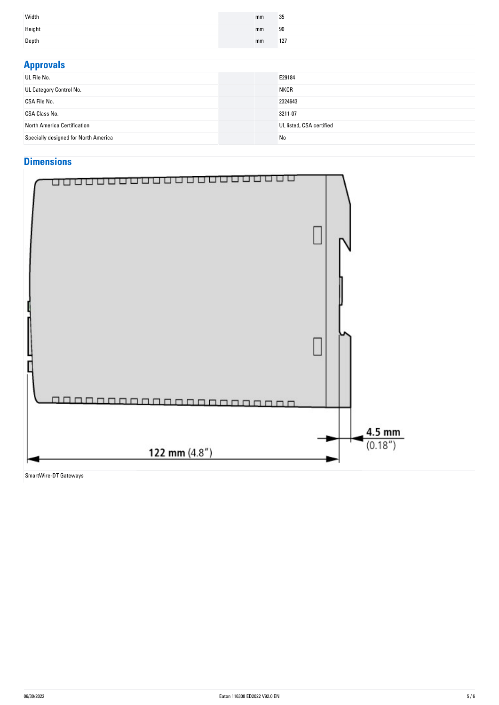| Width  | mm | 35  |
|--------|----|-----|
| Height | mm | 90  |
| Depth  | mm | 127 |

| <b>Approvals</b>                     |                          |
|--------------------------------------|--------------------------|
| UL File No.                          | E29184                   |
| UL Category Control No.              | <b>NKCR</b>              |
| CSA File No.                         | 2324643                  |
| <b>CSA Class No.</b>                 | 3211-07                  |
| North America Certification          | UL listed, CSA certified |
| Specially designed for North America | No                       |

## **Dimensions**



SmartWire-DT Gateways